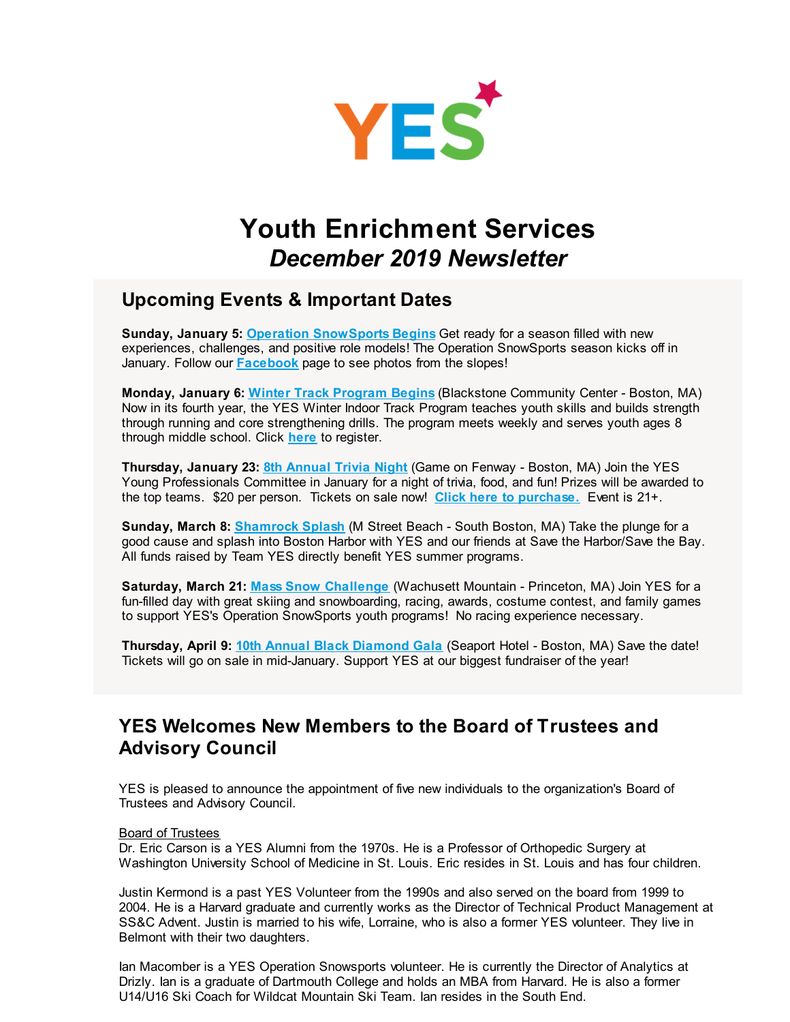

# **Youth Enrichment Services** *December 2019 Newsletter*

### **Upcoming Events & Important Dates**

**Sunday, January 5: Operation [SnowSports](http://r20.rs6.net/tn.jsp?f=001qZQtheUlhEEz6L2pHr8hMMlAsH8ng1f4aFNF2KmZjhwHI1CCA0rduAjk4yghYLQIju4g0ljvUKE-QMaiPj0YU5oF1JyERT2TXmljJ5guhihZMWhJOgtJrZzcKpCLb4L5QJMt9tW9bCO8wdxga_elf5mnb8mss1U4iEG9ljxOFKSqdmPsVSg4Jw==&c=&ch=) Begins** Get ready for a season filled with new experiences, challenges, and positive role models! The Operation SnowSports season kicks off in January. Follow our **[Facebook](http://r20.rs6.net/tn.jsp?f=001qZQtheUlhEEz6L2pHr8hMMlAsH8ng1f4aFNF2KmZjhwHI1CCA0rduNgBAKJXsiJwvdZq_oTLe03fNS62QsV00RL7hIpIP-TRGtRLWsCZlbxrJQq1lbRb42CUwNPUWxStQg3XCcdN9FUcl_HoD9l9l1T2hvgp3YF0e4_fMFgCmWhGoUEMouQG7ISdCPgIZ5B7M4xIJAAwXeBeDkKa8iljaVQ-N1KuSQyR&c=&ch=)** page to see photos from the slopes!

**Monday, January 6: Winter Track [Program](http://r20.rs6.net/tn.jsp?f=001qZQtheUlhEEz6L2pHr8hMMlAsH8ng1f4aFNF2KmZjhwHI1CCA0rduAjk4yghYLQIKIQhzA94gB_AoPD5UJ_ctR_IV27EP0BtBHyOd6Oc6M2wQLYhGnyouqyqkkPr--_6FEr-AHt1ixi7C_1QSWEvlstlCifDOLrIAO7CU5Ir97owdMSYSSlvuHXBVvUQkzVC&c=&ch=) Begins** (Blackstone Community Center - Boston, MA) Now in its fourth year, the YES Winter Indoor Track Program teaches youth skills and builds strength through running and core strengthening drills. The program meets weekly and serves youth ages 8 through middle school. Click **[here](http://r20.rs6.net/tn.jsp?f=001qZQtheUlhEEz6L2pHr8hMMlAsH8ng1f4aFNF2KmZjhwHI1CCA0rduNgBAKJXsiJw0ic5HEDPtYqzdUNk8wHXvxyAaFPoVQawPqVjigmCihGia0T1_t4WQr9KfcBvwCFcpeG4vRqPrYH6eqYvEACoGkNGdUTID5k1nbnexq08H77C4WfuMUBocpgQCNJR3tVpSMHzETReSEz3GIPSx0FAUap1hpRwyQE8fgiKbcYw82ODAxQeZxFt1x_oq-x2mjUv&c=&ch=)** to register.

**Thursday, January 23: 8th [Annual](http://r20.rs6.net/tn.jsp?f=001qZQtheUlhEEz6L2pHr8hMMlAsH8ng1f4aFNF2KmZjhwHI1CCA0rduNgBAKJXsiJwZJFDeeVRtAljxthjC8x_v3eL_f_ljTvekDzOTOkzWvkO_G6J48FPceMGuBywQD99KxGRWc5jNm6g7YmF7SpP7x57hTC4ee-exVG-mGv3FADpR_BNbSNdjqjlmvCj3KJvSsWS3IdBaOu9oDYRnE2mAw==&c=&ch=) Trivia Night** (Game on Fenway - Boston, MA) Join the YES Young Professionals Committee in January for a night of trivia, food, and fun! Prizes will be awarded to the top teams. \$20 per person. Tickets on sale now! **Click here to [purchase.](http://r20.rs6.net/tn.jsp?f=001qZQtheUlhEEz6L2pHr8hMMlAsH8ng1f4aFNF2KmZjhwHI1CCA0rduNgBAKJXsiJwsYLNBpZfVRAKonjePX0NX3NEnRAGTpcWwphTjqaqtsihPophlrgzvAIa3Z0lmul50Q3upShbOCllsjYDNCLtwV6NYegs5ThO-yTiDskpmyDTzRGp4kkoXrbZyC3q9jkgN-eO2TMNvig9zIPi2AEmRVhW3gBIMO1R09MGvOxaCAmQRZUoTvy1t-CwhiPjNMUM029sGu3wnl305kkUQGp5PQ5C9J_B_B88&c=&ch=)** Event is 21+.

**Sunday, March 8: [Shamrock](http://r20.rs6.net/tn.jsp?f=001qZQtheUlhEEz6L2pHr8hMMlAsH8ng1f4aFNF2KmZjhwHI1CCA0rduEMClw21Bu1bv1bBmYUbGJHMhrTYJFNZACjokWXe9jYTSs0HDo_eQoUxOUObZRC4tgyYJ7hpwef0jHWKnOIg1AGRQuKBfvwdjLvqs9WS1yZmNZEwAC21hgd5hkkm9qN9jA==&c=&ch=) Splash** (M Street Beach - South Boston, MA) Take the plunge for a good cause and splash into Boston Harbor with YES and our friends at Save the Harbor/Save the Bay. All funds raised by Team YES directly benefit YES summer programs.

**Saturday, March 21: Mass Snow [Challenge](http://r20.rs6.net/tn.jsp?f=001qZQtheUlhEEz6L2pHr8hMMlAsH8ng1f4aFNF2KmZjhwHI1CCA0rduEMClw21Bu1b5swMmFUXIQe2kH0eyaCHuFhVfWUyW1RGUXQ6QZHzId77HdI5tnLVXUg-ucyRQpjfy_snjuQXje4SWf5ijP735_43LiDvDsVwFNATOJA3gw0GcHfs1E8fTp47KFCcNHEc&c=&ch=)** (Wachusett Mountain - Princeton, MA) Join YES for a fun-filled day with great skiing and snowboarding, racing, awards, costume contest, and family games to support YES's Operation SnowSports youth programs! No racing experience necessary.

**Thursday, April 9: 10th Annual Black [Diamond](http://r20.rs6.net/tn.jsp?f=001qZQtheUlhEEz6L2pHr8hMMlAsH8ng1f4aFNF2KmZjhwHI1CCA0rduLu8nMOBVj0aEexF_06DzPjfHtFPkR73uW6v8PIVynSltj7Nn5DwVP4uiIdxHt9PMW3OpiYZMKK0LUqthLlISqvadhBKcKEL46eb05238IZxecgrCHAh_vg7UYICJcM8_Q==&c=&ch=) Gala** (Seaport Hotel - Boston, MA) Save the date! Tickets will go on sale in mid-January. Support YES at our biggest fundraiser of the year!

## **YES Welcomes New Members to the Board of Trustees and Advisory Council**

YES is pleased to announce the appointment of five new individuals to the organization's Board of Trustees and Advisory Council.

#### Board of Trustees

Dr. Eric Carson is a YES Alumni from the 1970s. He is a Professor of Orthopedic Surgery at Washington University School of Medicine in St. Louis. Eric resides in St. Louis and has four children.

Justin Kermond is a past YES Volunteer from the 1990s and also served on the board from 1999 to 2004. He is a Harvard graduate and currently works as the Director of Technical Product Management at SS&C Advent. Justin is married to his wife, Lorraine, who is also a former YES volunteer. They live in Belmont with their two daughters.

Ian Macomber is a YES Operation Snowsports volunteer. He is currently the Director of Analytics at Drizly. Ian is a graduate of Dartmouth College and holds an MBA from Harvard. He is also a former U14/U16 Ski Coach for Wildcat Mountain Ski Team. Ian resides in the South End.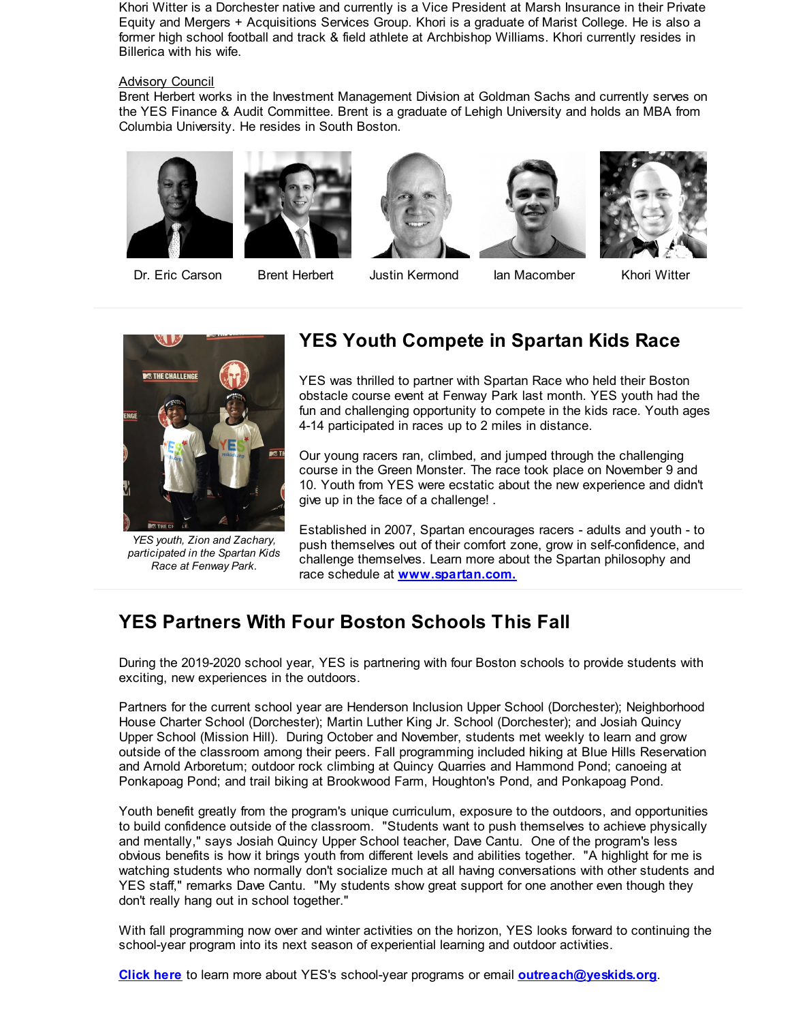Khori Witter is a Dorchester native and currently is a Vice President at Marsh Insurance in their Private Equity and Mergers + Acquisitions Services Group. Khori is a graduate of Marist College. He is also a former high school football and track & field athlete at Archbishop Williams. Khori currently resides in Billerica with his wife.

#### Advisory Council

Brent Herbert works in the Investment Management Division at Goldman Sachs and currently serves on the YES Finance & Audit Committee. Brent is a graduate of Lehigh University and holds an MBA from Columbia University. He resides in South Boston.











Dr. Eric Carson Brent Herbert Justin Kermond Ian Macomber Khori Witter



*YES youth, Zion and Zachary, participated in the Spartan Kids Race at Fenway Park.*

### **YES Youth Compete in Spartan Kids Race**

YES was thrilled to partner with Spartan Race who held their Boston obstacle course event at Fenway Park last month. YES youth had the fun and challenging opportunity to compete in the kids race. Youth ages 4-14 participated in races up to 2 miles in distance.

Our young racers ran, climbed, and jumped through the challenging course in the Green Monster. The race took place on November 9 and 10. Youth from YES were ecstatic about the new experience and didn't give up in the face of a challenge! .

Established in 2007, Spartan encourages racers - adults and youth - to push themselves out of their comfort zone, grow in self-confidence, and challenge themselves. Learn more about the Spartan philosophy and race schedule at **[www.spartan.com.](http://r20.rs6.net/tn.jsp?f=001qZQtheUlhEEz6L2pHr8hMMlAsH8ng1f4aFNF2KmZjhwHI1CCA0rduNgBAKJXsiJwPLC3gCfHUhIm-wjrPaKbLFSg7ME0d8dndvZCTLSzPNtVqObkHxVybvotofIFWo-JQCv1fuhmkwWHg5XHs8u5k1x9y6Oflrh75xEC9lsoVs4=&c=&ch=)**

## **YES Partners With Four Boston Schools This Fall**

During the 2019-2020 school year, YES is partnering with four Boston schools to provide students with exciting, new experiences in the outdoors.

Partners for the current school year are Henderson Inclusion Upper School (Dorchester); Neighborhood House Charter School (Dorchester); Martin Luther King Jr. School (Dorchester); and Josiah Quincy Upper School (Mission Hill). During October and November, students met weekly to learn and grow outside of the classroom among their peers. Fall programming included hiking at Blue Hills Reservation and Arnold Arboretum; outdoor rock climbing at Quincy Quarries and Hammond Pond; canoeing at Ponkapoag Pond; and trail biking at Brookwood Farm, Houghton's Pond, and Ponkapoag Pond.

Youth benefit greatly from the program's unique curriculum, exposure to the outdoors, and opportunities to build confidence outside of the classroom. "Students want to push themselves to achieve physically and mentally," says Josiah Quincy Upper School teacher, Dave Cantu. One of the program's less obvious benefits is how it brings youth from different levels and abilities together. "A highlight for me is watching students who normally don't socialize much at all having conversations with other students and YES staff," remarks Dave Cantu. "My students show great support for one another even though they don't really hang out in school together."

With fall programming now over and winter activities on the horizon, YES looks forward to continuing the school-year program into its next season of experiential learning and outdoor activities.

**[Click](http://r20.rs6.net/tn.jsp?f=001qZQtheUlhEEz6L2pHr8hMMlAsH8ng1f4aFNF2KmZjhwHI1CCA0rduNgBAKJXsiJwU-u7yUfgfHP9TC569UWy_rPhlv065tCgzRGwN6xVdWLLRULVkFHObrdyc9oQd_gYCWDI9HU8GIrZ4vhM41yZ7-I3Zpv4EkmTCnOkjhx5DKdhJVEIBmx5BvEe4YARj3i1efc0rznwVN0=&c=&ch=) here** to learn more about YES's school-year programs or email **[outreach@yeskids.org](mailto:outreach@yeskids.org)**.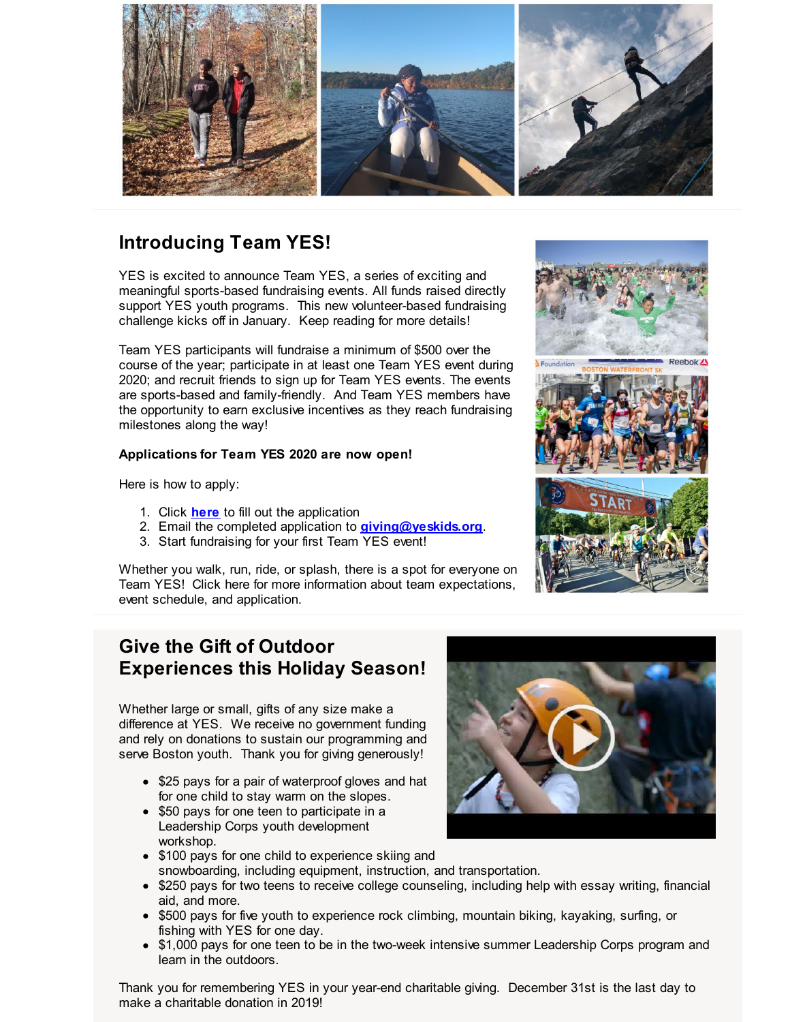

## **Introducing Team YES!**

YES is excited to announce Team YES, a series of exciting and meaningful sports-based fundraising events. All funds raised directly support YES youth programs. This new volunteer-based fundraising challenge kicks off in January. Keep reading for more details!

Team YES participants will fundraise a minimum of \$500 over the course of the year; participate in at least one Team YES event during 2020; and recruit friends to sign up for Team YES events. The events are sports-based and family-friendly. And Team YES members have the opportunity to earn exclusive incentives as they reach fundraising milestones along the way!

#### **Applications for Team YES 2020 are now open!**

Here is how to apply:

- 1. Click **[here](http://r20.rs6.net/tn.jsp?f=001qZQtheUlhEEz6L2pHr8hMMlAsH8ng1f4aFNF2KmZjhwHI1CCA0rduNgBAKJXsiJwozEOCe-uTpjoQE6ukipNUEk7uiXYjX_Q7nKP5F6Hnz36kYn7-oy6roXNISqdjqvnoiq9VMetqnSNO4ueKtTVMPk0WLx4jWQmigyrj51iXXZVlmItrsDAYxcp1UT3HnS24EI3VXtm2Apo7wnw882w6abCdn5avKHJiq4tG7w01b3j79zaOofs96zhUAQZNymK8nou78GPN3uv6ndPWZQtfQ==&c=&ch=)** to fill out the application
- 2. Email the completed application to **[giving@yeskids.org](mailto:giving@yeskids.org)**.
- 3. Start fundraising for your first Team YES event!

Whether you walk, run, ride, or splash, there is a spot for everyone on Team YES! Click here for more information about team expectations, event schedule, and application.



### **Give the Gift of Outdoor Experiences this Holiday Season!**

Whether large or small, gifts of any size make a difference at YES. We receive no government funding and rely on donations to sustain our programming and serve Boston youth. Thank you for giving generously!

- \$25 pays for a pair of waterproof gloves and hat for one child to stay warm on the slopes.
- \$50 pays for one teen to participate in a Leadership Corps youth development workshop.
- \$100 pays for one child to experience skiing and snowboarding, including equipment, instruction, and transportation.
- \$250 pays for two teens to receive college counseling, including help with essay writing, financial aid, and more.
- \$500 pays for five youth to experience rock climbing, mountain biking, kayaking, surfing, or fishing with YES for one day.
- \$1,000 pays for one teen to be in the two-week intensive summer Leadership Corps program and learn in the outdoors.

Thank you for remembering YES in your year-end charitable giving. December 31st is the last day to make a charitable donation in 2019!